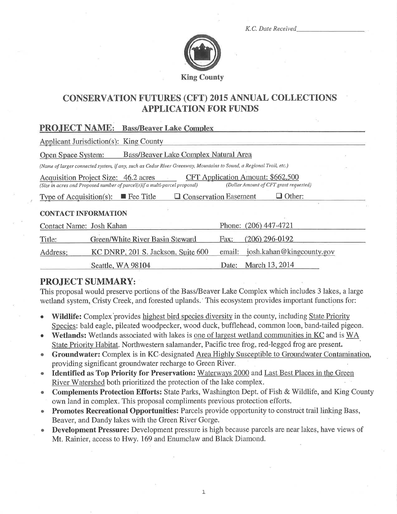K.C. Date Received



# **CONSERVATION FUTURES (CFT) 2015 ANNUAL COLLECTIONS APPLICATION FOR FUNDS**

## **PROJECT NAME:** Bass/Beaver Lake Complex

**Applicant Jurisdiction(s): King County** 

|  | Open Space System: | Bass/Beaver Lake Complex Natural Area |  |
|--|--------------------|---------------------------------------|--|
|--|--------------------|---------------------------------------|--|

(Name of larger connected system, if any, such as Cedar River Greenway, Mountains to Sound, a Regional Trail, etc.)

CFT Application Amount: \$662,500 Acquisition Project Size: 46.2 acres (Dollar Amount of CFT grant requested) (Size in acres and Proposed number of parcel(s)if a multi-parcel proposal)

Type of Acquisition(s):  $\blacksquare$  Fee Title □ Conservation Easement  $\Box$  Other:

### **CONTACT INFORMATION**

| Contact Name: Josh Kahan |                                    |      | Phone: (206) 447-4721              |
|--------------------------|------------------------------------|------|------------------------------------|
| Title:                   | Green/White River Basin Steward    | Fax: | $(206)$ 296-0192                   |
| Address:                 | KC DNRP, 201 S. Jackson, Suite 600 |      | email: $josh.kahan@kingcounty.gov$ |
|                          | Seattle, WA 98104                  |      | Date: March 13, 2014               |

## **PROJECT SUMMARY:**

This proposal would preserve portions of the Bass/Beaver Lake Complex which includes 3 lakes, a large wetland system, Cristy Creek, and forested uplands. This ecosystem provides important functions for:

- **Wildlife:** Complex provides highest bird species diversity in the county, including State Priority Species: bald eagle, pileated woodpecker, wood duck, bufflehead, common loon, band-tailed pigeon.
- Wetlands: Wetlands associated with lakes is one of largest wetland communities in KC and is WA State Priority Habitat. Northwestern salamander, Pacific tree frog, red-legged frog are present.
- Groundwater: Complex is in KC-designated Area Highly Susceptible to Groundwater Contamination, providing significant groundwater recharge to Green River.
- Identified as Top Priority for Preservation: Waterways 2000 and Last Best Places in the Green River Watershed both prioritized the protection of the lake complex.
- **Complements Protection Efforts:** State Parks, Washington Dept. of Fish & Wildlife, and King County own land in complex. This proposal compliments previous protection efforts.
- Promotes Recreational Opportunities: Parcels provide opportunity to construct trail linking Bass, Beaver, and Dandy lakes with the Green River Gorge.
- Development Pressure: Development pressure is high because parcels are near lakes, have views of Mt. Rainier, access to Hwy. 169 and Enumclaw and Black Diamond.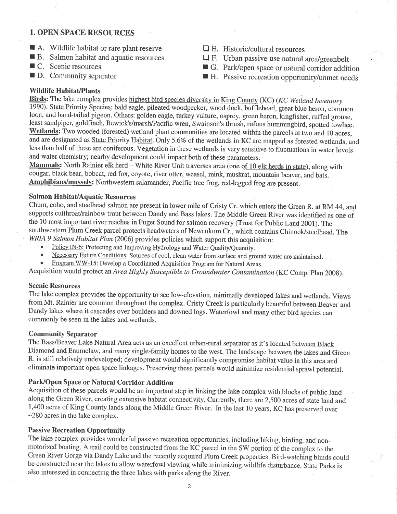## 1. OPEN SPACE RESOURCES

- $\blacksquare$  A. Wildlife habitat or rare plant reserve
- B. Salmon habitat and aquatic resources
- $\blacksquare$  C. Scenic resources
- $\blacksquare$  D. Community separator
- $\Box$  E. Historic/cultural resources
- 
- 
- $\Box$  **F.** Urban passive-use natural area/greenbelt  $\Box$  G. Park/open space or natural corridor addition  $\Box$  H. Passive recreation opportunity/unmet needs

## Wildlife Habitat/Plants

Birds: The lake complex provides highest bird species diversity in King County (KC) (KC Wetland Inventory 1990). State Priority Species: bald eagle, pileated woodpecker, wood duck, bufflehead, great blue heron, common loon, and band-tailed pigeon. Others: golden eagle, turkey vulture, osprey, green heron, kingfisher, ruffed grouse, least sandpiper, goldfinch, Bewick's/marsh/Pacific wren, Swainson's thrush, rufous hummingbird, spotted towhee. Wetlands: Two wooded (forested) wetland plant communities are located within the parcels at two and 10 acres, and are designated as State Priority Habitat. Only 5.6% of the wetlands in KC are mapped as forested wetlands, and less than half of these are coniferous. Vegetation in these wetlands is very sensitive to fluctuations in water levels and water chemistry; nearby development could impact both of these parameters.

Mammals: North Rainier elk herd – White River Unit traverses area (one of 10 elk herds in state), along with cougar, black bear, bobcat, red fox, coyote, river otter; weasel, mink, muskrat, mountain beaver, and bats. Amphibians/mussels: Northwestern salamander, Pacific tree frog, red-legged frog are present.

### Salmon Habitat/Aquatic Resources

Chum, coho, and steelhead salmon are present in lower mile of Cristy Cr. which enters the Green R. at RM 44, and supports cutthroat/rainbow trout between Dandy and Bass lakes. The Middle Green River was identified as one of the 10 most important river reaches in Puget Sound for salmon recovery (Trust for Public Land 2001). The southwestern Plum Creek parcel protects headwaters of Newaukum Cr., which contains Chinook/steelhead. The WRIA 9 Salmon Habitat Plan (2006) provides policies which support this acquisition:

- 
- Policy IN-6: Protecting and Improving Hydrology and Water Quality/Quantity.<br>Necessary Future Conditions: Sources of cool, clean water from surface and ground water are maintained.
- Program WW-15: Develop a Coordinated Acquisition Program for Natural Areas.

Acquisition would protect an Area Highly Susceptible to Groundwater Contamination (KC Comp. plan 2008).

#### Scenic Resources

The lake complex provides the opportunity to see low-elevation, minimally developed lakes and wetlands. Views from Mt. Rainier are common throughout the complex. Cristy Creek is particularly beautiful between Beaver and Dandy lakes where it cascades over boulders and downed logs. Waterfowl and many other bird species can commonly be seen in the lakes ând wetlands.

#### CommunÍty Separator

The Bass/Beaver Lake Natural Area acts as an excellent urban-rural separator as it's located between Black Diamond and Enumclaw, and many single-family homes to the west. The landscape between the lakes and Green R. is still relatively undeveloped; development would significantly compromise habitat value in this area and eliminate important open space linkages. Preserving these parcels would minimize residential sprawl potential.

### Park/Open Space or Natural Corridor Addition

Acquisition of these parcels would be an important step in linking the lake complex with blocks of public land along the Green River, creating extensive habitat connectivity. Currently, there are 2,500 acres of state land and 1,400 acres of King County lands along the Middle Green River. In the last 10 years, KC has preserved over -280 acres in the lake complex.

### Passive Recreation Oþportunity

The lake complex provides wonderful passive recreation opportunities, including hiking, birding, and nonmotorized boating. A trail could be constructed from the KC parcel in the SW portion of the complex to the Green River Gorge via Dandy Lake and the recently acquired Plum Creek properties. Bird-watching blinds could be constructed near the lakes to allow waterfowl viewing while minimizing wildlife disturbance. State Parks is also interested in connecting the three lakes with parks along the River,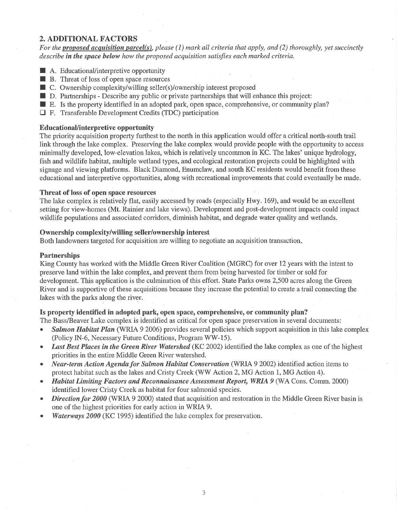## 2. ADDITIONAL FACTORS

For the proposed acquisition parcel(s), please (1) mark all criteria that apply, and (2) thoroughly; yet succinctly describe in the space below how the proposed acquisition satisfies each marked criteria.

- $\blacksquare$  A. Educational/interpretive opportunity
- $\blacksquare$  B. Threat of loss of open space resources
- $\blacksquare$  C. Ownership complexity/willing seller(s)/ownership interest proposed
- $\blacksquare$  D. Partnerships Describe any public or private partnerships that will enhance this project:
- $\blacksquare$  E. Is the property identified in an adopted park, open space, comprehensive, or community plan?
- E F. Transferable Development Credits (TDC) participation

#### EducationaUinterpretive opportunity

The priority acquisition property furthest to the north in this application would offer a critical north-south trail link through the lake complex. Preserving the lake complex would provide people with the opportunity to access minimally developed, low-elevation lakes, which is relatively uncommon in KC. The lakes' unique hydrology, fish and wildlife habitat, multiple wetland types, and ecological restoration projects could be highlighted with signage and viewing platforms. Black Diamond, Enumclaw, and south KC residents would benefit from these educational and interpretive opportunities, along with recreational improvements that could eventually be made.

#### Threat of loss of open space resources

The lake complex is relatively flat, easily accessed by roads (especially Hwy. 169), and would be an excellent setting for view-homes (Mt. Rainier and lake views). Development and post-development impacts could impact wildlife populations and associated corridors, diminish habitat, and degrade water quality and wetlands.

#### Ownership complexity/willing seller/ownership interest

Both landowners targeted for acquisition are willing to negotiate an acquisition transaction

#### **Partnerships**

King County has worked with the Middle Green River Coalition (MGRC) for over 12 years with the intent to preserve land within the lake complex, and prevent them from þeing harvested for timber or sold for development. This application is the culmination of this effort. State Parks owns 2,500 acres along the Green River and is supportive of these acquisitions because they increase the potential to create a trail connecting the lakes with the parks along the river.

### Is property Ídentified in adopted park, open space, comprehensive, or community plan?

The Bass/Beaver Lake complex is identified as critical for open space preservation in several documents:

- Salmon Habitat Plan (WRIA 9 2006) provides several policies which support acquisition in this lake complex (Policy IN-6, Necessary Future Conditions, Program WW-15).
- Last Best Places in the Green River Watershed (KC 2002) identified the lake complex as one of the highest priorities in the entire Middle Green River watershed.
- Near-term Action Agenda for Salmon Habitat Conservation (WRIA 9 2002) identified action items to protect habitat such as the lakes and Cristy Creek (WW Action2,MG Action 1, MG Action 4).
- Habitat Limiting Factors and Reconnaissance Assessment Report, WRIA 9 (WA Cons. Comm. 2000) identified lower Cristy Creek as habitat for four salmonid species.
- Direction for 2000 (WRIA 9 2000) stated that acquisition and restoration in the Middle Green River basin is one of the highest priorities for early action in WRIA 9.
- Waterways 2000 (KC 1995) identified the lake complex for preservation.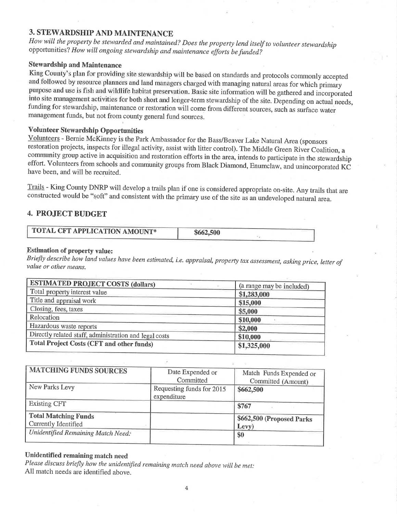## **3. STEWARDSHIP AND MAINTENANCE**

How will the property be stewarded and maintained? Does the property lend itself to volunteer stewardship opportunities? How will ongoing stewardship and maintenance efforts be funded?

## **Stewardship and Maintenance**

King County's plan for providing site stewardship will be based on standards and protocols commonly accepted and followed by resource planners and land managers charged with managing natural areas for which primary purpose and use is fish and wildlife habitat preservation. Basic site information will be gathered and incorporated into site management activities for both short and longer-term stewardship of the site. Depending on actual needs, funding for stewardship, maintenance or restoration will come from different sources, such as surface water management funds, but not from county general fund sources.

## **Volunteer Stewardship Opportunities**

Volunteers - Bernie McKinney is the Park Ambassador for the Bass/Beaver Lake Natural Area (sponsors restoration projects, inspects for illegal activity, assist with litter control). The Middle Green River Coalition, a community group active in acquisition and restoration efforts in the area, intends to participate in the stewardship effort. Volunteers from schools and community groups from Black Diamond, Enumelaw, and unincorporated KC have been, and will be recruited.

Trails - King County DNRP will develop a trails plan if one is considered appropriate on-site. Any trails that are constructed would be "soft" and consistent with the primary use of the site as an undeveloped natural area.

## **4. PROJECT BUDGET**

| TOTAL CFT APPLICATION AMOUNT* | \$662,500 |  |
|-------------------------------|-----------|--|
|                               |           |  |

## **Estimation of property value:**

Briefly describe how land values have been estimated, i.e. appraisal, property tax assessment, asking price, letter of value or other means.

| <b>ESTIMATED PROJECT COSTS (dollars)</b>               | (a range may be included) |
|--------------------------------------------------------|---------------------------|
| Total property interest value                          | \$1,283,000               |
| Title and appraisal work                               | \$15,000                  |
| Closing, fees, taxes                                   | \$5,000                   |
| Relocation                                             | \$10,000                  |
| Hazardous waste reports                                | \$2,000                   |
| Directly related staff, administration and legal costs | \$10,000                  |
| <b>Total Project Costs (CFT and other funds)</b>       | \$1,325,000               |

| <b>MATCHING FUNDS SOURCES</b>                              | Date Expended or<br>Committed            | Match Funds Expended or<br>Committed (Amount) |
|------------------------------------------------------------|------------------------------------------|-----------------------------------------------|
| New Parks Levy                                             | Requesting funds for 2015<br>expenditure | \$662,500                                     |
| <b>Existing CFT</b>                                        |                                          | \$767                                         |
| <b>Total Matching Funds</b><br><b>Currently Identified</b> |                                          | \$662,500 (Proposed Parks<br>Levy)            |
| Unidentified Remaining Match Need:                         |                                          | \$0                                           |

## Unidentified remaining match need

Please discuss briefly how the unidentified remaining match need above will be met: All match needs are identified above.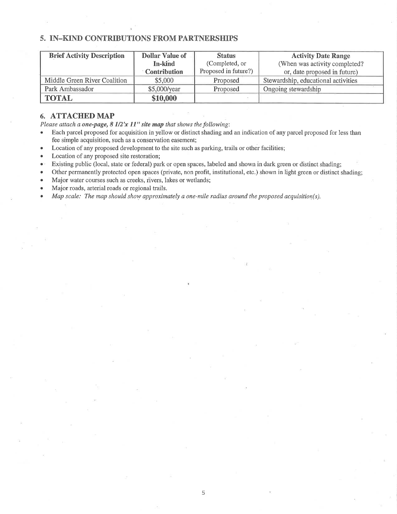## 5. IN-KIND CONTRIBUTIONS FROM PARTNERSHIPS

| <b>Brief Activity Description</b> | <b>Dollar Value of</b> | <b>Status</b>        | <b>Activity Date Range</b>          |
|-----------------------------------|------------------------|----------------------|-------------------------------------|
|                                   | In-kind                | (Completed, or       | (When was activity completed?       |
|                                   | <b>Contribution</b>    | Proposed in future?) | or, date proposed in future)        |
| Middle Green River Coalition      | \$5,000                | Proposed             | Stewardship, educational activities |
| Park Ambassador                   | \$5,000/year           | Proposed             | Ongoing stewardship                 |
| <b>TOTAL</b>                      | \$10,000               |                      |                                     |

## 6. ATTACHED MAP

Please attach a **one-page, 8 1/2'x 11" site map** that shows the following:<br>• Each parcel proposed for acquisition in vellow or distinct shading and

- Each parcel proposed for acquisition in yellow or distinct shading and an indication of any parcel proposed for less than fee simple acquisition, such as a conservation easement;
- Location of any proposed development to the site such as parking, trails or other facilities;
- Location of any proposed site restoration;
- Existing public (local, state or federal) park or open spaces, labeled and shown in dark green or distinct shading;
- Other permanently protected open spaces (private, non profit, institutional, etc.) shown in light green or distinct shading;
- Major water courses such as creeks, rivers, lakes or wetlands;
- Major roads, arterial roads or regional trails.
- Map scale: The map should show approximately a one-mile radius around the proposed acquisition(s).